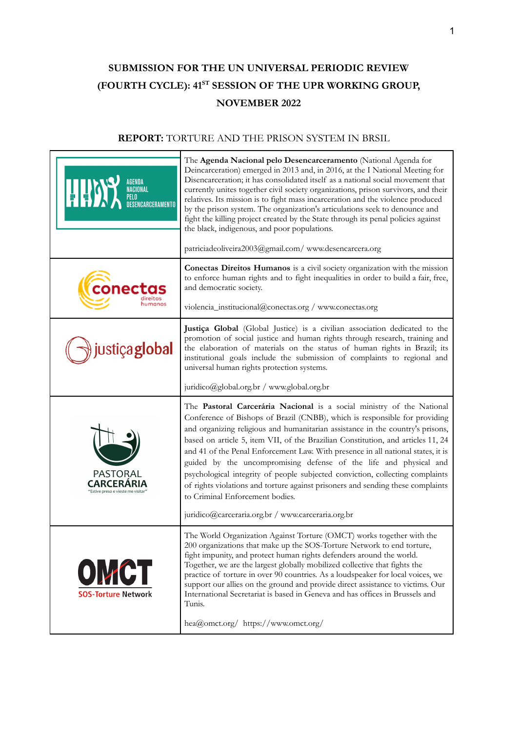# **SUBMISSION FOR THE UN UNIVERSAL PERIODIC REVIEW (FOURTH CYCLE): 41ST SESSION OF THE UPR WORKING GROUP, NOVEMBER 2022**

## **REPORT:** TORTURE AND THE PRISON SYSTEM IN BRSIL

| AGENDA<br>Nacional<br>Pelo<br>Desencarceramento<br>$\left \frac{1}{7}\right \frac{1}{7}$ | The Agenda Nacional pelo Desencarceramento (National Agenda for<br>Deincarceration) emerged in 2013 and, in 2016, at the I National Meeting for<br>Disencarceration; it has consolidated itself as a national social movement that<br>currently unites together civil society organizations, prison survivors, and their<br>relatives. Its mission is to fight mass incarceration and the violence produced<br>by the prison system. The organization's articulations seek to denounce and<br>fight the killing project created by the State through its penal policies against<br>the black, indigenous, and poor populations.<br>patriciadeoliveira2003@gmail.com/www.desencarcera.org  |
|------------------------------------------------------------------------------------------|-------------------------------------------------------------------------------------------------------------------------------------------------------------------------------------------------------------------------------------------------------------------------------------------------------------------------------------------------------------------------------------------------------------------------------------------------------------------------------------------------------------------------------------------------------------------------------------------------------------------------------------------------------------------------------------------|
| conec                                                                                    | <b>Conectas Direitos Humanos</b> is a civil society organization with the mission<br>to enforce human rights and to fight inequalities in order to build a fair, free,<br>and democratic society.<br>violencia_institucional@conectas.org / www.conectas.org                                                                                                                                                                                                                                                                                                                                                                                                                              |
| ustiça <b>global</b>                                                                     | Justiça Global (Global Justice) is a civilian association dedicated to the<br>promotion of social justice and human rights through research, training and<br>the elaboration of materials on the status of human rights in Brazil; its<br>institutional goals include the submission of complaints to regional and<br>universal human rights protection systems.                                                                                                                                                                                                                                                                                                                          |
|                                                                                          | juridico@global.org.br / www.global.org.br                                                                                                                                                                                                                                                                                                                                                                                                                                                                                                                                                                                                                                                |
| <b>PASTORAL</b><br>"Estive preso e vieste me visital                                     | The Pastoral Carcerária Nacional is a social ministry of the National<br>Conference of Bishops of Brazil (CNBB), which is responsible for providing<br>and organizing religious and humanitarian assistance in the country's prisons,<br>based on article 5, item VII, of the Brazilian Constitution, and articles 11, 24<br>and 41 of the Penal Enforcement Law. With presence in all national states, it is<br>guided by the uncompromising defense of the life and physical and<br>psychological integrity of people subjected conviction, collecting complaints<br>of rights violations and torture against prisoners and sending these complaints<br>to Criminal Enforcement bodies. |
|                                                                                          | juridico@carceraria.org.br / www.carceraria.org.br                                                                                                                                                                                                                                                                                                                                                                                                                                                                                                                                                                                                                                        |
| OMCT<br><b>SOS-Torture Network</b>                                                       | The World Organization Against Torture (OMCT) works together with the<br>200 organizations that make up the SOS-Torture Network to end torture,<br>fight impunity, and protect human rights defenders around the world.<br>Together, we are the largest globally mobilized collective that fights the<br>practice of torture in over 90 countries. As a loudspeaker for local voices, we<br>support our allies on the ground and provide direct assistance to victims. Our<br>International Secretariat is based in Geneva and has offices in Brussels and<br>Tunis.<br>hea@omct.org/ https://www.omct.org/                                                                               |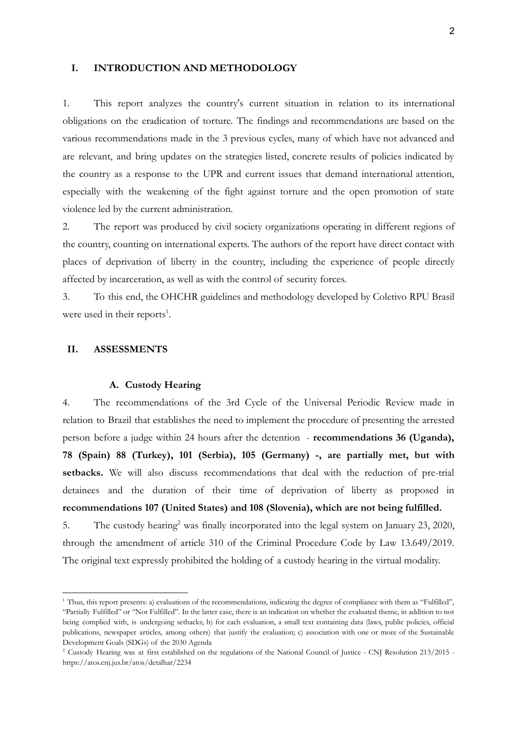#### **I. INTRODUCTION AND METHODOLOGY**

1. This report analyzes the country's current situation in relation to its international obligations on the eradication of torture. The findings and recommendations are based on the various recommendations made in the 3 previous cycles, many of which have not advanced and are relevant, and bring updates on the strategies listed, concrete results of policies indicated by the country as a response to the UPR and current issues that demand international attention, especially with the weakening of the fight against torture and the open promotion of state violence led by the current administration.

2. The report was produced by civil society organizations operating in different regions of the country, counting on international experts. The authors of the report have direct contact with places of deprivation of liberty in the country, including the experience of people directly affected by incarceration, as well as with the control of security forces.

3. To this end, the OHCHR guidelines and methodology developed by Coletivo RPU Brasil were used in their reports<sup>1</sup>.

## **II. ASSESSMENTS**

## **A. Custody Hearing**

4. The recommendations of the 3rd Cycle of the Universal Periodic Review made in relation to Brazil that establishes the need to implement the procedure of presenting the arrested person before a judge within 24 hours after the detention - **recommendations 36 (Uganda), 78 (Spain) 88 (Turkey), 101 (Serbia), 105 (Germany) -, are partially met, but with setbacks.** We will also discuss recommendations that deal with the reduction of pre-trial detainees and the duration of their time of deprivation of liberty as proposed in **recommendations 107 (United States) and 108 (Slovenia), which are not being fulfilled.**

5. The custody hearing<sup>2</sup> was finally incorporated into the legal system on January 23, 2020, through the amendment of article 310 of the Criminal Procedure Code by Law 13.649/2019. The original text expressly prohibited the holding of a custody hearing in the virtual modality.

<sup>&</sup>lt;sup>1</sup> Thus, this report presents: a) evaluations of the recommendations, indicating the degree of compliance with them as "Fulfilled", "Partially Fulfilled" or "Not Fulfilled". In the latter case, there is an indication on whether the evaluated theme, in addition to not being complied with, is undergoing setbacks; b) for each evaluation, a small text containing data (laws, public policies, official publications, newspaper articles, among others) that justify the evaluation; c) association with one or more of the Sustainable Development Goals (SDGs) of the 2030 Agenda

<sup>&</sup>lt;sup>2</sup> Custody Hearing was at first established on the regulations of the National Council of Justice - CNJ Resolution 213/2015 https://atos.cnj.jus.br/atos/detalhar/2234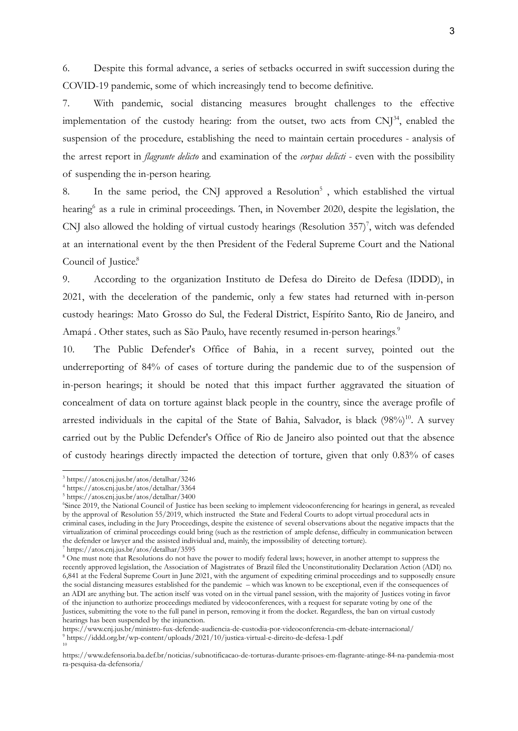6. Despite this formal advance, a series of setbacks occurred in swift succession during the COVID-19 pandemic, some of which increasingly tend to become definitive.

7. With pandemic, social distancing measures brought challenges to the effective implementation of the custody hearing: from the outset, two acts from  $CNJ^{34}$ , enabled the suspension of the procedure, establishing the need to maintain certain procedures - analysis of the arrest report in *flagrante delicto* and examination of the *corpus delicti* - even with the possibility of suspending the in-person hearing.

8. In the same period, the CNJ approved a Resolution<sup>5</sup>, which established the virtual hearing<sup>6</sup> as a rule in criminal proceedings. Then, in November 2020, despite the legislation, the CNJ also allowed the holding of virtual custody hearings (Resolution  $357$ )<sup>7</sup>, witch was defended at an international event by the then President of the Federal Supreme Court and the National Council of Justice. 8

9. According to the organization Instituto de Defesa do Direito de Defesa (IDDD), in 2021, with the deceleration of the pandemic, only a few states had returned with in-person custody hearings: Mato Grosso do Sul, the Federal District, Espírito Santo, Rio de Janeiro, and Amapá . Other states, such as São Paulo, have recently resumed in-person hearings.<sup>9</sup>

10. The Public Defender's Office of Bahia, in a recent survey, pointed out the underreporting of 84% of cases of torture during the pandemic due to of the suspension of in-person hearings; it should be noted that this impact further aggravated the situation of concealment of data on torture against black people in the country, since the average profile of arrested individuals in the capital of the State of Bahia, Salvador, is black  $(98\%)^{10}$ . A survey carried out by the Public Defender's Office of Rio de Janeiro also pointed out that the absence of custody hearings directly impacted the detection of torture, given that only 0.83% of cases

<sup>3</sup> https://atos.cnj.jus.br/atos/detalhar/3246

<sup>4</sup> https://atos.cnj.jus.br/atos/detalhar/3364

<sup>5</sup> https://atos.cnj.jus.br/atos/detalhar/3400

<sup>6</sup>Since 2019, the National Council of Justice has been seeking to implement videoconferencing for hearings in general, as revealed by the approval of Resolution 55/2019, which instructed the State and Federal Courts to adopt virtual procedural acts in criminal cases, including in the Jury Proceedings, despite the existence of several observations about the negative impacts that the virtualization of criminal proceedings could bring (such as the restriction of ample defense, difficulty in communication between the defender or lawyer and the assisted individual and, mainly, the impossibility of detecting torture).

<sup>7</sup> https://atos.cnj.jus.br/atos/detalhar/3595

<sup>&</sup>lt;sup>8</sup> One must note that Resolutions do not have the power to modify federal laws; however, in another attempt to suppress the recently approved legislation, the Association of Magistrates of Brazil filed the Unconstitutionality Declaration Action (ADI) no. 6,841 at the Federal Supreme Court in June 2021, with the argument of expediting criminal proceedings and to supposedly ensure the social distancing measures established for the pandemic – which was known to be exceptional, even if the consequences of an ADI are anything but. The action itself was voted on in the virtual panel session, with the majority of Justices voting in favor of the injunction to authorize proceedings mediated by videoconferences, with a request for separate voting by one of the Justices, submitting the vote to the full panel in person, removing it from the docket. Regardless, the ban on virtual custody hearings has been suspended by the injunction.

<sup>10</sup> <sup>9</sup> https://iddd.org.br/wp-content/uploads/2021/10/justica-virtual-e-direito-de-defesa-1.pdf https://www.cnj.jus.br/ministro-fux-defende-audiencia-de-custodia-por-videoconferencia-em-debate-internacional/

https://www.defensoria.ba.def.br/noticias/subnotificacao-de-torturas-durante-prisoes-em-flagrante-atinge-84-na-pandemia-most ra-pesquisa-da-defensoria/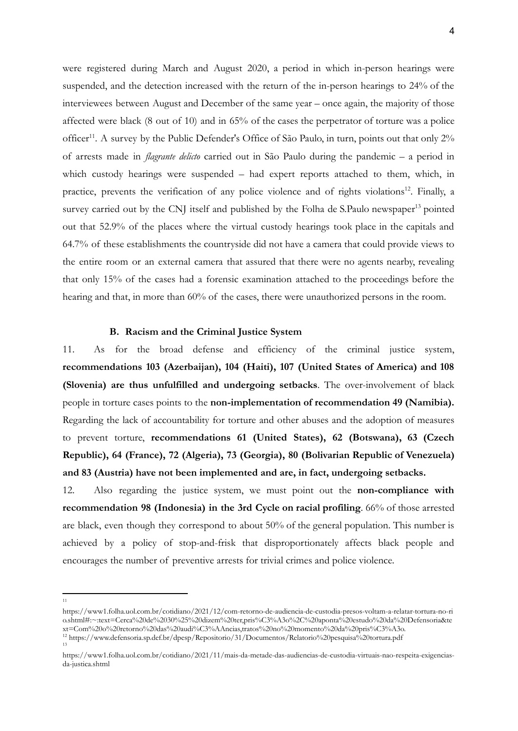were registered during March and August 2020, a period in which in-person hearings were suspended, and the detection increased with the return of the in-person hearings to 24% of the interviewees between August and December of the same year – once again, the majority of those affected were black (8 out of 10) and in 65% of the cases the perpetrator of torture was a police officer<sup>11</sup>. A survey by the Public Defender's Office of São Paulo, in turn, points out that only 2% of arrests made in *flagrante delicto* carried out in São Paulo during the pandemic – a period in which custody hearings were suspended – had expert reports attached to them, which, in practice, prevents the verification of any police violence and of rights violations<sup>12</sup>. Finally, a survey carried out by the CNJ itself and published by the Folha de S.Paulo newspaper<sup>13</sup> pointed out that 52.9% of the places where the virtual custody hearings took place in the capitals and 64.7% of these establishments the countryside did not have a camera that could provide views to the entire room or an external camera that assured that there were no agents nearby, revealing that only 15% of the cases had a forensic examination attached to the proceedings before the hearing and that, in more than 60% of the cases, there were unauthorized persons in the room.

## **B. Racism and the Criminal Justice System**

11. As for the broad defense and efficiency of the criminal justice system, **recommendations 103 (Azerbaijan), 104 (Haiti), 107 (United States of America) and 108 (Slovenia) are thus unfulfilled and undergoing setbacks**. The over-involvement of black people in torture cases points to the **non-implementation of recommendation 49 (Namibia).** Regarding the lack of accountability for torture and other abuses and the adoption of measures to prevent torture, **recommendations 61 (United States), 62 (Botswana), 63 (Czech Republic), 64 (France), 72 (Algeria), 73 (Georgia), 80 (Bolivarian Republic of Venezuela) and 83 (Austria) have not been implemented and are, in fact, undergoing setbacks.**

12. Also regarding the justice system, we must point out the **non-compliance with recommendation 98 (Indonesia) in the 3rd Cycle on racial profiling**. 66% of those arrested are black, even though they correspond to about 50% of the general population. This number is achieved by a policy of stop-and-frisk that disproportionately affects black people and encourages the number of preventive arrests for trivial crimes and police violence.

11

<sup>12</sup> https://www.defensoria.sp.def.br/dpesp/Repositorio/31/Documentos/Relatorio%20pesquisa%20tortura.pdf https://www1.folha.uol.com.br/cotidiano/2021/12/com-retorno-de-audiencia-de-custodia-presos-voltam-a-relatar-tortura-no-ri o.shtml#:~:text=Cerca%20de%2030%25%20dizem%20ter,pris%C3%A3o%2C%20aponta%20estudo%20da%20Defensoria&te xt=Com%20o%20retorno%20das%20audi%C3%AAncias,tratos%20no%20momento%20da%20pris%C3%A3o.

<sup>13</sup>

https://www1.folha.uol.com.br/cotidiano/2021/11/mais-da-metade-das-audiencias-de-custodia-virtuais-nao-respeita-exigenciasda-justica.shtml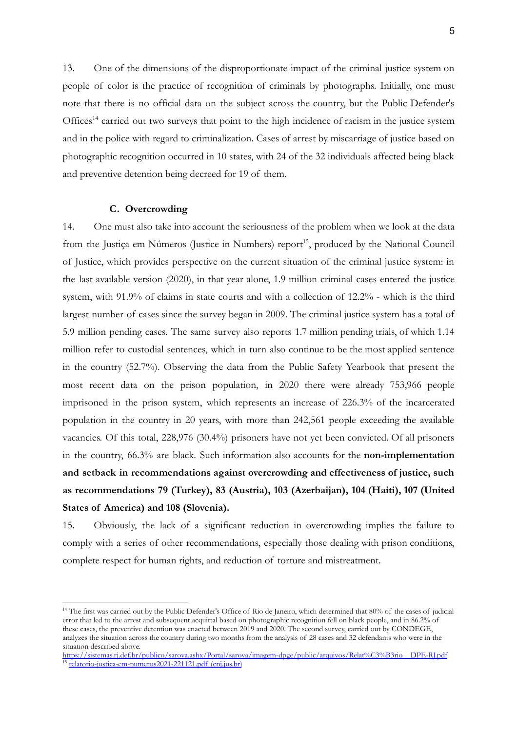13. One of the dimensions of the disproportionate impact of the criminal justice system on people of color is the practice of recognition of criminals by photographs. Initially, one must note that there is no official data on the subject across the country, but the Public Defender's Offices<sup>14</sup> carried out two surveys that point to the high incidence of racism in the justice system and in the police with regard to criminalization. Cases of arrest by miscarriage of justice based on photographic recognition occurred in 10 states, with 24 of the 32 individuals affected being black and preventive detention being decreed for 19 of them.

#### **C. Overcrowding**

14. One must also take into account the seriousness of the problem when we look at the data from the Justiça em Números (Justice in Numbers) report<sup>15</sup>, produced by the National Council of Justice, which provides perspective on the current situation of the criminal justice system: in the last available version (2020), in that year alone, 1.9 million criminal cases entered the justice system, with 91.9% of claims in state courts and with a collection of 12.2% - which is the third largest number of cases since the survey began in 2009. The criminal justice system has a total of 5.9 million pending cases. The same survey also reports 1.7 million pending trials, of which 1.14 million refer to custodial sentences, which in turn also continue to be the most applied sentence in the country (52.7%). Observing the data from the Public Safety Yearbook that present the most recent data on the prison population, in 2020 there were already 753,966 people imprisoned in the prison system, which represents an increase of 226.3% of the incarcerated population in the country in 20 years, with more than 242,561 people exceeding the available vacancies. Of this total, 228,976 (30.4%) prisoners have not yet been convicted. Of all prisoners in the country, 66.3% are black. Such information also accounts for the **non-implementation and setback in recommendations against overcrowding and effectiveness of justice, such as recommendations 79 (Turkey), 83 (Austria), 103 (Azerbaijan), 104 (Haiti), 107 (United States of America) and 108 (Slovenia).**

15. Obviously, the lack of a significant reduction in overcrowding implies the failure to comply with a series of other recommendations, especially those dealing with prison conditions, complete respect for human rights, and reduction of torture and mistreatment.

<sup>&</sup>lt;sup>14</sup> The first was carried out by the Public Defender's Office of Rio de Janeiro, which determined that 80% of the cases of judicial error that led to the arrest and subsequent acquittal based on photographic recognition fell on black people, and in 86.2% of these cases, the preventive detention was enacted between 2019 and 2020. The second survey, carried out by CONDEGE, analyzes the situation across the country during two months from the analysis of 28 cases and 32 defendants who were in the situation described above.

<sup>&</sup>lt;sup>15</sup> [relatorio-justica-em-numeros2021-221121.pdf \(cnj.jus.br\)](https://www.cnj.jus.br/wp-content/uploads/2021/11/relatorio-justica-em-numeros2021-221121.pdf) [https://sistemas.rj.def.br/publico/sarova.ashx/Portal/sarova/imagem-dpge/public/arquivos/Relat%C3%B3rio\\_\\_DPE-RJ.pdf](https://sistemas.rj.def.br/publico/sarova.ashx/Portal/sarova/imagem-dpge/public/arquivos/Relat%C3%B3rio__DPE-RJ.pdf)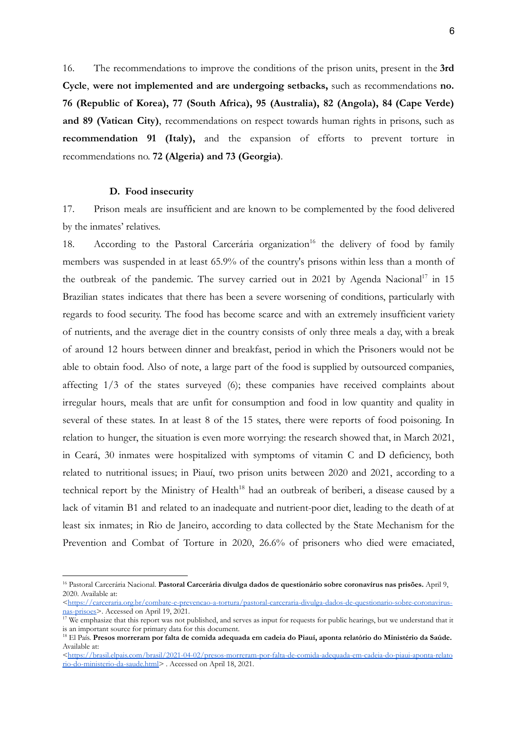16. The recommendations to improve the conditions of the prison units, present in the **3rd Cycle**, **were not implemented and are undergoing setbacks,** such as recommendations **no. 76 (Republic of Korea), 77 (South Africa), 95 (Australia), 82 (Angola), 84 (Cape Verde) and 89 (Vatican City)**, recommendations on respect towards human rights in prisons, such as **recommendation 91 (Italy),** and the expansion of efforts to prevent torture in recommendations no. **72 (Algeria) and 73 (Georgia)**.

#### **D. Food insecurity**

17. Prison meals are insufficient and are known to be complemented by the food delivered by the inmates' relatives.

18. According to the Pastoral Carcerária organization<sup>16</sup> the delivery of food by family members was suspended in at least 65.9% of the country's prisons within less than a month of the outbreak of the pandemic. The survey carried out in 2021 by Agenda Nacional<sup>17</sup> in 15 Brazilian states indicates that there has been a severe worsening of conditions, particularly with regards to food security. The food has become scarce and with an extremely insufficient variety of nutrients, and the average diet in the country consists of only three meals a day, with a break of around 12 hours between dinner and breakfast, period in which the Prisoners would not be able to obtain food. Also of note, a large part of the food is supplied by outsourced companies, affecting 1/3 of the states surveyed (6); these companies have received complaints about irregular hours, meals that are unfit for consumption and food in low quantity and quality in several of these states. In at least 8 of the 15 states, there were reports of food poisoning. In relation to hunger, the situation is even more worrying: the research showed that, in March 2021, in Ceará, 30 inmates were hospitalized with symptoms of vitamin C and D deficiency, both related to nutritional issues; in Piauí, two prison units between 2020 and 2021, according to a technical report by the Ministry of Health<sup>18</sup> had an outbreak of beriberi, a disease caused by a lack of vitamin B1 and related to an inadequate and nutrient-poor diet, leading to the death of at least six inmates; in Rio de Janeiro, according to data collected by the State Mechanism for the Prevention and Combat of Torture in 2020, 26.6% of prisoners who died were emaciated,

<sup>16</sup> Pastoral Carcerária Nacional. **Pastoral Carcerária divulga dados de questionário sobre coronavírus nas prisões.** April 9, 2020. Available at:

 $\langle h_{\text{https://carceraria.org.br/combate-e-prevencao-a-tortura/pastoral-carceraria-divula-dados-de-questionario-sobre-coronavirus-fatres} \rangle$ [nas-prisoes>](https://carceraria.org.br/combate-e-prevencao-a-tortura/pastoral-carceraria-divulga-dados-de-questionario-sobre-coronavirus-nas-prisoes). Accessed on April 19, 2021.

 $\frac{17}{17}$  We emphasize that this report was not published, and serves as input for requests for public hearings, but we understand that it is an important source for primary data for this document.

<sup>18</sup> El País. **Presos morreram por falta de comida adequada em cadeia do Piauí, aponta relatório do Ministério da Saúde.** Available at:

 $\langle \frac{\text{https://brasi.cophas.com/brasi/2021-04-02/presos-morreram-por-falta-de-comida-adequad-am-cadeia-do-piaui-aponta-relato$ [rio-do-ministerio-da-saude.html>](https://brasil.elpais.com/brasil/2021-04-02/presos-morreram-por-falta-de-comida-adequada-em-cadeia-do-piaui-aponta-relatorio-do-ministerio-da-saude.html) . Accessed on April 18, 2021.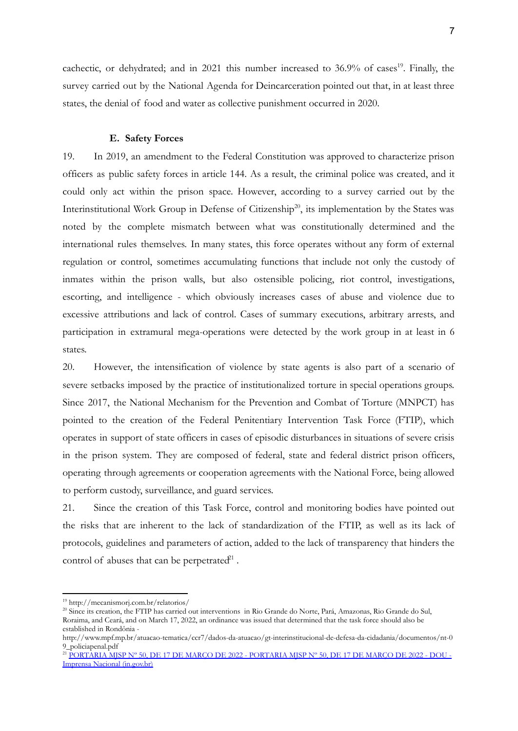cachectic, or dehydrated; and in 2021 this number increased to 36.9% of cases<sup>19</sup>. Finally, the survey carried out by the National Agenda for Deincarceration pointed out that, in at least three states, the denial of food and water as collective punishment occurred in 2020.

#### **E. Safety Forces**

19. In 2019, an amendment to the Federal Constitution was approved to characterize prison officers as public safety forces in article 144. As a result, the criminal police was created, and it could only act within the prison space. However, according to a survey carried out by the Interinstitutional Work Group in Defense of Citizenship<sup>20</sup>, its implementation by the States was noted by the complete mismatch between what was constitutionally determined and the international rules themselves. In many states, this force operates without any form of external regulation or control, sometimes accumulating functions that include not only the custody of inmates within the prison walls, but also ostensible policing, riot control, investigations, escorting, and intelligence - which obviously increases cases of abuse and violence due to excessive attributions and lack of control. Cases of summary executions, arbitrary arrests, and participation in extramural mega-operations were detected by the work group in at least in 6 states.

20. However, the intensification of violence by state agents is also part of a scenario of severe setbacks imposed by the practice of institutionalized torture in special operations groups. Since 2017, the National Mechanism for the Prevention and Combat of Torture (MNPCT) has pointed to the creation of the Federal Penitentiary Intervention Task Force (FTIP), which operates in support of state officers in cases of episodic disturbances in situations of severe crisis in the prison system. They are composed of federal, state and federal district prison officers, operating through agreements or cooperation agreements with the National Force, being allowed to perform custody, surveillance, and guard services.

21. Since the creation of this Task Force, control and monitoring bodies have pointed out the risks that are inherent to the lack of standardization of the FTIP, as well as its lack of protocols, guidelines and parameters of action, added to the lack of transparency that hinders the control of abuses that can be perpetrated<sup>21</sup>.

<sup>19</sup> http://mecanismorj.com.br/relatorios/

<sup>&</sup>lt;sup>20</sup> Since its creation, the FTIP has carried out interventions in Rio Grande do Norte, Pará, Amazonas, Rio Grande do Sul, Roraima, and Ceará, and on March 17, 2022, an ordinance was issued that determined that the task force should also be established in Rondônia -

http://www.mpf.mp.br/atuacao-tematica/ccr7/dados-da-atuacao/gt-interinstitucional-de-defesa-da-cidadania/documentos/nt-0 9\_policiapenal.pdf

<sup>21</sup> [PORTARIA MJSP Nº 50, DE 17 DE MARÇO DE 2022 - PORTARIA](https://www.in.gov.br/en/web/dou/-/portaria-mjsp-n-50-de-17-de-marco-de-2022-386723413) MJSP Nº 50, DE 17 DE MARÇO DE 2022 - DOU - [Imprensa Nacional \(in.gov.br\)](https://www.in.gov.br/en/web/dou/-/portaria-mjsp-n-50-de-17-de-marco-de-2022-386723413)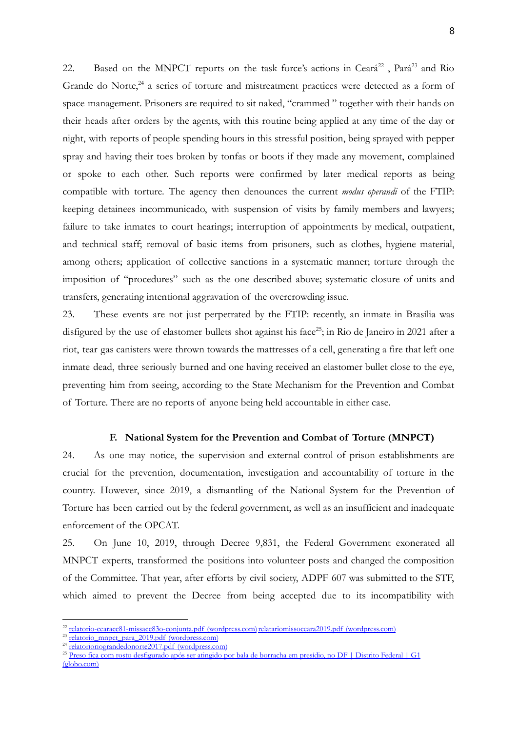22. Based on the MNPCT reports on the task force's actions in Ceará<sup>22</sup>, Pará<sup>23</sup> and Rio Grande do Norte,<sup>24</sup> a series of torture and mistreatment practices were detected as a form of space management. Prisoners are required to sit naked, "crammed " together with their hands on their heads after orders by the agents, with this routine being applied at any time of the day or night, with reports of people spending hours in this stressful position, being sprayed with pepper spray and having their toes broken by tonfas or boots if they made any movement, complained or spoke to each other. Such reports were confirmed by later medical reports as being compatible with torture. The agency then denounces the current *modus operandi* of the FTIP: keeping detainees incommunicado, with suspension of visits by family members and lawyers; failure to take inmates to court hearings; interruption of appointments by medical, outpatient, and technical staff; removal of basic items from prisoners, such as clothes, hygiene material, among others; application of collective sanctions in a systematic manner; torture through the imposition of "procedures" such as the one described above; systematic closure of units and transfers, generating intentional aggravation of the overcrowding issue.

23. These events are not just perpetrated by the FTIP: recently, an inmate in Brasília was disfigured by the use of elastomer bullets shot against his face<sup>25</sup>; in Rio de Janeiro in 2021 after a riot, tear gas canisters were thrown towards the mattresses of a cell, generating a fire that left one inmate dead, three seriously burned and one having received an elastomer bullet close to the eye, preventing him from seeing, according to the State Mechanism for the Prevention and Combat of Torture. There are no reports of anyone being held accountable in either case.

## **F. National System for the Prevention and Combat of Torture (MNPCT)**

24. As one may notice, the supervision and external control of prison establishments are crucial for the prevention, documentation, investigation and accountability of torture in the country. However, since 2019, a dismantling of the National System for the Prevention of Torture has been carried out by the federal government, as well as an insufficient and inadequate enforcement of the OPCAT.

25. On June 10, 2019, through Decree 9,831, the Federal Government exonerated all MNPCT experts, transformed the positions into volunteer posts and changed the composition of the Committee. That year, after efforts by civil society, ADPF 607 was submitted to the STF, which aimed to prevent the Decree from being accepted due to its incompatibility with

<sup>25</sup> Preso fica com rosto desfigurado após ser atingido [por bala de borracha em presídio, no DF | Distrito Federal | G1](https://g1.globo.com/df/distrito-federal/noticia/2022/03/15/preso-fica-com-rosto-desfigurado-apos-ser-atingido-por-bala-de-borracha-em-presidio-no-df.ghtml) [\(globo.com\)](https://g1.globo.com/df/distrito-federal/noticia/2022/03/15/preso-fica-com-rosto-desfigurado-apos-ser-atingido-por-bala-de-borracha-em-presidio-no-df.ghtml)

<sup>&</sup>lt;sup>22</sup> [relatorio-cearacc81-missacc83o-conjunta.pdf \(wordpress.com\)](https://mnpctbrasil.files.wordpress.com/2020/09/relatorio-cearacc81-missacc83o-conjunta.pdf) [relatariomissoceara2019.pdf \(wordpress.com\)](https://mnpctbrasil.files.wordpress.com/2019/09/relatariomissoceara2019.pdf)

<sup>&</sup>lt;sup>23</sup> [relatorio\\_mnpct\\_para\\_2019.pdf \(wordpress.com\)](https://mnpctbrasil.files.wordpress.com/2019/11/relatorio_mnpct_para_2019.pdf)

<sup>&</sup>lt;sup>24</sup> [relatorioriograndedonorte2017.pdf \(wordpress.com\)](https://mnpctbrasil.files.wordpress.com/2019/09/relatorioriograndedonorte2017.pdf)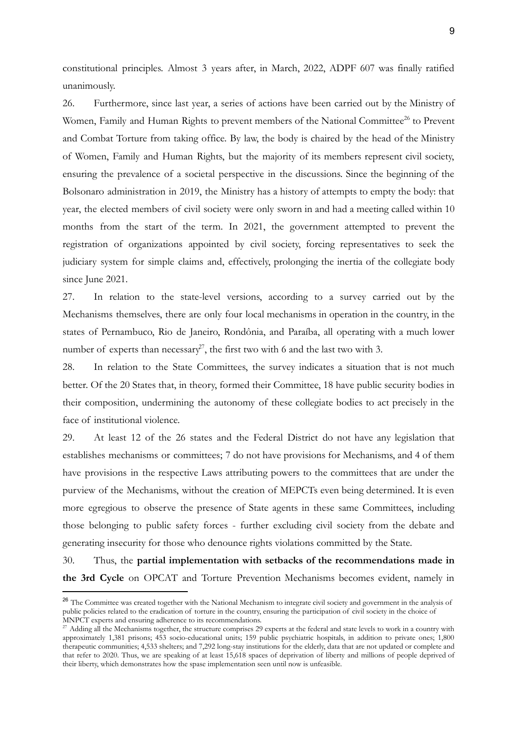constitutional principles. Almost 3 years after, in March, 2022, ADPF 607 was finally ratified unanimously.

26. Furthermore, since last year, a series of actions have been carried out by the Ministry of Women, Family and Human Rights to prevent members of the National Committee<sup>26</sup> to Prevent and Combat Torture from taking office. By law, the body is chaired by the head of the Ministry of Women, Family and Human Rights, but the majority of its members represent civil society, ensuring the prevalence of a societal perspective in the discussions. Since the beginning of the Bolsonaro administration in 2019, the Ministry has a history of attempts to empty the body: that year, the elected members of civil society were only sworn in and had a meeting called within 10 months from the start of the term. In 2021, the government attempted to prevent the registration of organizations appointed by civil society, forcing representatives to seek the judiciary system for simple claims and, effectively, prolonging the inertia of the collegiate body since June 2021.

27. In relation to the state-level versions, according to a survey carried out by the Mechanisms themselves, there are only four local mechanisms in operation in the country, in the states of Pernambuco, Rio de Janeiro, Rondônia, and Paraíba, all operating with a much lower number of experts than necessary<sup>27</sup>, the first two with 6 and the last two with 3.

28. In relation to the State Committees, the survey indicates a situation that is not much better. Of the 20 States that, in theory, formed their Committee, 18 have public security bodies in their composition, undermining the autonomy of these collegiate bodies to act precisely in the face of institutional violence.

29. At least 12 of the 26 states and the Federal District do not have any legislation that establishes mechanisms or committees; 7 do not have provisions for Mechanisms, and 4 of them have provisions in the respective Laws attributing powers to the committees that are under the purview of the Mechanisms, without the creation of MEPCTs even being determined. It is even more egregious to observe the presence of State agents in these same Committees, including those belonging to public safety forces - further excluding civil society from the debate and generating insecurity for those who denounce rights violations committed by the State.

30. Thus, the **partial implementation with setbacks of the recommendations made in the 3rd Cycle** on OPCAT and Torture Prevention Mechanisms becomes evident, namely in

<sup>&</sup>lt;sup>26</sup> The Committee was created together with the National Mechanism to integrate civil society and government in the analysis of public policies related to the eradication of torture in the country, ensuring the participation of civil society in the choice of MNPCT experts and ensuring adherence to its recommendations.

<sup>&</sup>lt;sup>27</sup> Adding all the Mechanisms together, the structure comprises 29 experts at the federal and state levels to work in a country with approximately 1,381 prisons; 453 socio-educational units; 159 public psychiatric hospitals, in addition to private ones; 1,800 therapeutic communities; 4,533 shelters; and 7,292 long-stay institutions for the elderly, data that are not updated or complete and that refer to 2020. Thus, we are speaking of at least 15,618 spaces of deprivation of liberty and millions of people deprived of their liberty, which demonstrates how the spase implementation seen until now is unfeasible.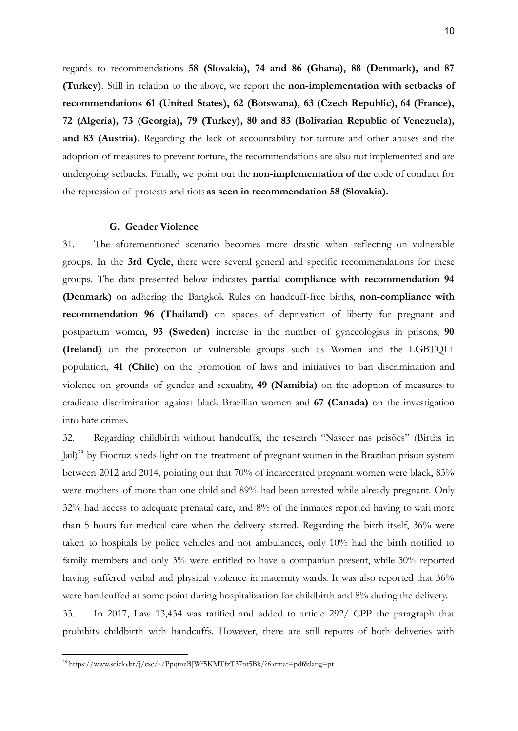regards to recommendations **58 (Slovakia), 74 and 86 (Ghana), 88 (Denmark), and 87 (Turkey)**. Still in relation to the above, we report the **non-implementation with setbacks of recommendations 61 (United States), 62 (Botswana), 63 (Czech Republic), 64 (France), 72 (Algeria), 73 (Georgia), 79 (Turkey), 80 and 83 (Bolivarian Republic of Venezuela), and 83 (Austria)**. Regarding the lack of accountability for torture and other abuses and the adoption of measures to prevent torture, the recommendations are also not implemented and are undergoing setbacks. Finally, we point out the **non-implementation of the** code of conduct for the repression of protests and riots **as seen in recommendation 58 (Slovakia).**

### **G. Gender Violence**

31. The aforementioned scenario becomes more drastic when reflecting on vulnerable groups. In the **3rd Cycle**, there were several general and specific recommendations for these groups. The data presented below indicates **partial compliance with recommendation 94 (Denmark)** on adhering the Bangkok Rules on handcuff-free births, **non-compliance with recommendation 96 (Thailand)** on spaces of deprivation of liberty for pregnant and postpartum women, **93 (Sweden)** increase in the number of gynecologists in prisons, **90 (Ireland)** on the protection of vulnerable groups such as Women and the LGBTQI+ population, **41 (Chile)** on the promotion of laws and initiatives to ban discrimination and violence on grounds of gender and sexuality, **49 (Namibia)** on the adoption of measures to eradicate discrimination against black Brazilian women and **67 (Canada)** on the investigation into hate crimes.

32. Regarding childbirth without handcuffs, the research "Nascer nas prisões" (Births in Jail)<sup>28</sup> by Fiocruz sheds light on the treatment of pregnant women in the Brazilian prison system between 2012 and 2014, pointing out that 70% of incarcerated pregnant women were black, 83% were mothers of more than one child and 89% had been arrested while already pregnant. Only 32% had access to adequate prenatal care, and 8% of the inmates reported having to wait more than 5 hours for medical care when the delivery started. Regarding the birth itself, 36% were taken to hospitals by police vehicles and not ambulances, only 10% had the birth notified to family members and only 3% were entitled to have a companion present, while 30% reported having suffered verbal and physical violence in maternity wards. It was also reported that 36% were handcuffed at some point during hospitalization for childbirth and 8% during the delivery.

33. In 2017, Law 13,434 was ratified and added to article 292/ CPP the paragraph that prohibits childbirth with handcuffs. However, there are still reports of both deliveries with

 $^{28}$  https://www.scielo.br/j/csc/a/PpqmzBJWf5KMTfzT37nt5Bk/?format=pdf&lang=pt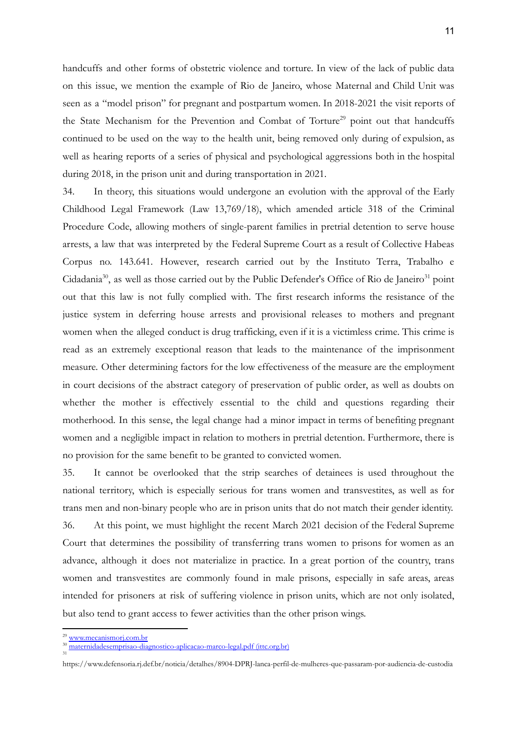handcuffs and other forms of obstetric violence and torture. In view of the lack of public data on this issue, we mention the example of Rio de Janeiro, whose Maternal and Child Unit was seen as a "model prison" for pregnant and postpartum women. In 2018-2021 the visit reports of the State Mechanism for the Prevention and Combat of Torture<sup>29</sup> point out that handcuffs continued to be used on the way to the health unit, being removed only during of expulsion, as well as hearing reports of a series of physical and psychological aggressions both in the hospital during 2018, in the prison unit and during transportation in 2021.

34. In theory, this situations would undergone an evolution with the approval of the Early Childhood Legal Framework (Law 13,769/18), which amended article 318 of the Criminal Procedure Code, allowing mothers of single-parent families in pretrial detention to serve house arrests, a law that was interpreted by the Federal Supreme Court as a result of Collective Habeas Corpus no. 143.641. However, research carried out by the Instituto Terra, Trabalho e Cidadania<sup>30</sup>, as well as those carried out by the Public Defender's Office of Rio de Janeiro<sup>31</sup> point out that this law is not fully complied with. The first research informs the resistance of the justice system in deferring house arrests and provisional releases to mothers and pregnant women when the alleged conduct is drug trafficking, even if it is a victimless crime. This crime is read as an extremely exceptional reason that leads to the maintenance of the imprisonment measure. Other determining factors for the low effectiveness of the measure are the employment in court decisions of the abstract category of preservation of public order, as well as doubts on whether the mother is effectively essential to the child and questions regarding their motherhood. In this sense, the legal change had a minor impact in terms of benefiting pregnant women and a negligible impact in relation to mothers in pretrial detention. Furthermore, there is no provision for the same benefit to be granted to convicted women.

35. It cannot be overlooked that the strip searches of detainees is used throughout the national territory, which is especially serious for trans women and transvestites, as well as for trans men and non-binary people who are in prison units that do not match their gender identity. 36. At this point, we must highlight the recent March 2021 decision of the Federal Supreme Court that determines the possibility of transferring trans women to prisons for women as an advance, although it does not materialize in practice. In a great portion of the country, trans women and transvestites are commonly found in male prisons, especially in safe areas, areas intended for prisoners at risk of suffering violence in prison units, which are not only isolated, but also tend to grant access to fewer activities than the other prison wings.

<sup>29</sup> [www.mecanismorj.com.br](http://www.mecanismorj.com.br)

<sup>31</sup> <sup>30</sup> [maternidadesemprisao-diagnostico-aplicacao-marco-legal.pdf](https://www.ittc.org.br/wp-content/uploads/2019/10/maternidadesemprisao-diagnostico-aplicacao-marco-legal.pdf) (ittc.org.br)

https://www.defensoria.rj.def.br/noticia/detalhes/8904-DPRJ-lanca-perfil-de-mulheres-que-passaram-por-audiencia-de-custodia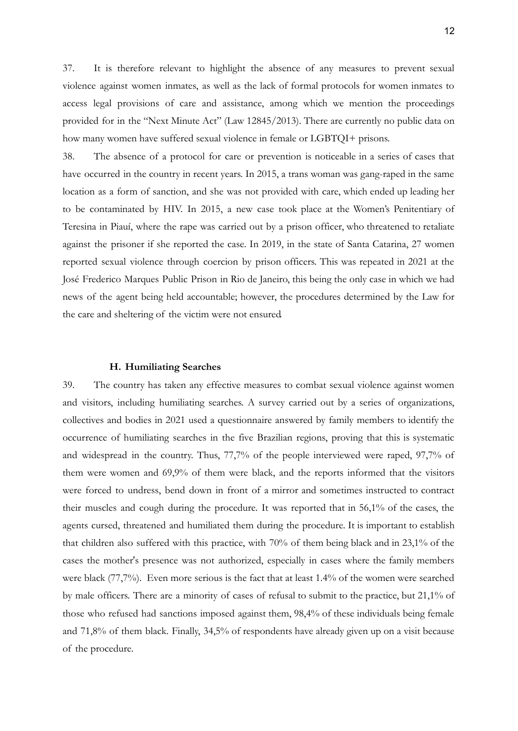37. It is therefore relevant to highlight the absence of any measures to prevent sexual violence against women inmates, as well as the lack of formal protocols for women inmates to access legal provisions of care and assistance, among which we mention the proceedings provided for in the "Next Minute Act" (Law 12845/2013). There are currently no public data on how many women have suffered sexual violence in female or LGBTQI+ prisons.

38. The absence of a protocol for care or prevention is noticeable in a series of cases that have occurred in the country in recent years. In 2015, a trans woman was gang-raped in the same location as a form of sanction, and she was not provided with care, which ended up leading her to be contaminated by HIV. In 2015, a new case took place at the Women's Penitentiary of Teresina in Piauí, where the rape was carried out by a prison officer, who threatened to retaliate against the prisoner if she reported the case. In 2019, in the state of Santa Catarina, 27 women reported sexual violence through coercion by prison officers. This was repeated in 2021 at the José Frederico Marques Public Prison in Rio de Janeiro, this being the only case in which we had news of the agent being held accountable; however, the procedures determined by the Law for the care and sheltering of the victim were not ensured.

#### **H. Humiliating Searches**

39. The country has taken any effective measures to combat sexual violence against women and visitors, including humiliating searches. A survey carried out by a series of organizations, collectives and bodies in 2021 used a questionnaire answered by family members to identify the occurrence of humiliating searches in the five Brazilian regions, proving that this is systematic and widespread in the country. Thus, 77,7% of the people interviewed were raped, 97,7% of them were women and 69,9% of them were black, and the reports informed that the visitors were forced to undress, bend down in front of a mirror and sometimes instructed to contract their muscles and cough during the procedure. It was reported that in 56,1% of the cases, the agents cursed, threatened and humiliated them during the procedure. It is important to establish that children also suffered with this practice, with 70% of them being black and in 23,1% of the cases the mother's presence was not authorized, especially in cases where the family members were black (77,7%). Even more serious is the fact that at least 1.4% of the women were searched by male officers. There are a minority of cases of refusal to submit to the practice, but 21,1% of those who refused had sanctions imposed against them, 98,4% of these individuals being female and 71,8% of them black. Finally, 34,5% of respondents have already given up on a visit because of the procedure.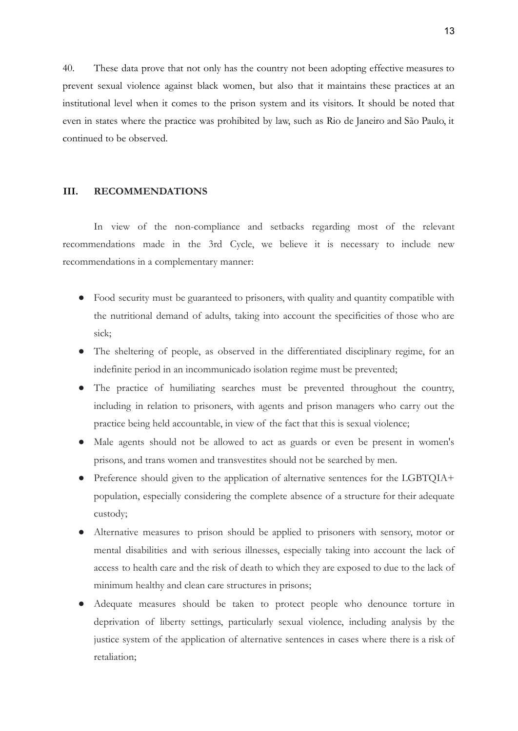40. These data prove that not only has the country not been adopting effective measures to prevent sexual violence against black women, but also that it maintains these practices at an institutional level when it comes to the prison system and its visitors. It should be noted that even in states where the practice was prohibited by law, such as Rio de Janeiro and São Paulo, it continued to be observed.

## **III. RECOMMENDATIONS**

In view of the non-compliance and setbacks regarding most of the relevant recommendations made in the 3rd Cycle, we believe it is necessary to include new recommendations in a complementary manner:

- Food security must be guaranteed to prisoners, with quality and quantity compatible with the nutritional demand of adults, taking into account the specificities of those who are sick;
- The sheltering of people, as observed in the differentiated disciplinary regime, for an indefinite period in an incommunicado isolation regime must be prevented;
- The practice of humiliating searches must be prevented throughout the country, including in relation to prisoners, with agents and prison managers who carry out the practice being held accountable, in view of the fact that this is sexual violence;
- Male agents should not be allowed to act as guards or even be present in women's prisons, and trans women and transvestites should not be searched by men.
- Preference should given to the application of alternative sentences for the LGBTQIA+ population, especially considering the complete absence of a structure for their adequate custody;
- Alternative measures to prison should be applied to prisoners with sensory, motor or mental disabilities and with serious illnesses, especially taking into account the lack of access to health care and the risk of death to which they are exposed to due to the lack of minimum healthy and clean care structures in prisons;
- Adequate measures should be taken to protect people who denounce torture in deprivation of liberty settings, particularly sexual violence, including analysis by the justice system of the application of alternative sentences in cases where there is a risk of retaliation;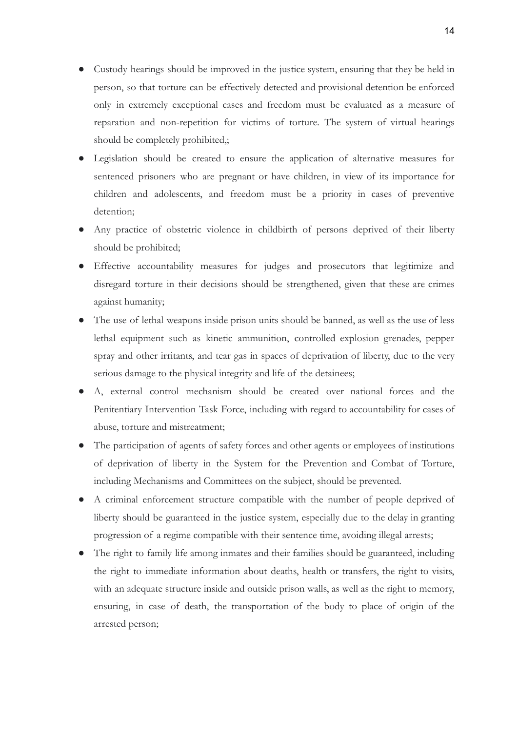- Custody hearings should be improved in the justice system, ensuring that they be held in person, so that torture can be effectively detected and provisional detention be enforced only in extremely exceptional cases and freedom must be evaluated as a measure of reparation and non-repetition for victims of torture. The system of virtual hearings should be completely prohibited,;
- Legislation should be created to ensure the application of alternative measures for sentenced prisoners who are pregnant or have children, in view of its importance for children and adolescents, and freedom must be a priority in cases of preventive detention;
- Any practice of obstetric violence in childbirth of persons deprived of their liberty should be prohibited;
- Effective accountability measures for judges and prosecutors that legitimize and disregard torture in their decisions should be strengthened, given that these are crimes against humanity;
- The use of lethal weapons inside prison units should be banned, as well as the use of less lethal equipment such as kinetic ammunition, controlled explosion grenades, pepper spray and other irritants, and tear gas in spaces of deprivation of liberty, due to the very serious damage to the physical integrity and life of the detainees;
- A, external control mechanism should be created over national forces and the Penitentiary Intervention Task Force, including with regard to accountability for cases of abuse, torture and mistreatment;
- The participation of agents of safety forces and other agents or employees of institutions of deprivation of liberty in the System for the Prevention and Combat of Torture, including Mechanisms and Committees on the subject, should be prevented.
- A criminal enforcement structure compatible with the number of people deprived of liberty should be guaranteed in the justice system, especially due to the delay in granting progression of a regime compatible with their sentence time, avoiding illegal arrests;
- The right to family life among inmates and their families should be guaranteed, including the right to immediate information about deaths, health or transfers, the right to visits, with an adequate structure inside and outside prison walls, as well as the right to memory, ensuring, in case of death, the transportation of the body to place of origin of the arrested person;